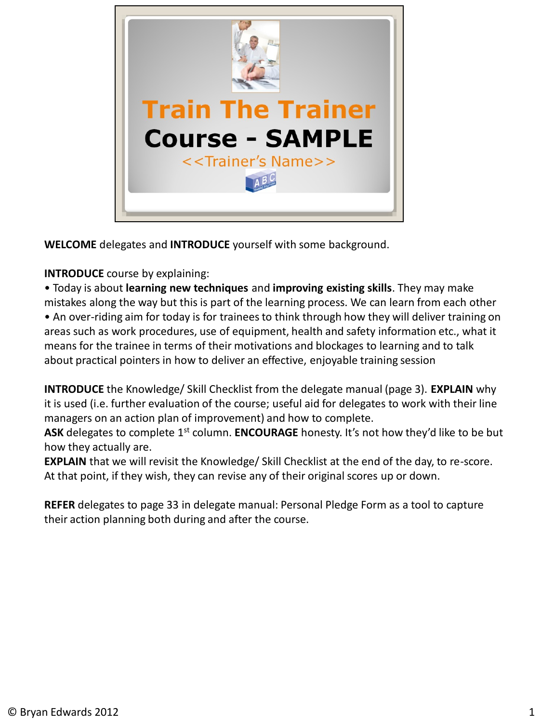

**WELCOME** delegates and **INTRODUCE** yourself with some background.

**INTRODUCE** course by explaining:

• Today is about **learning new techniques** and **improving existing skills**. They may make mistakes along the way but this is part of the learning process. We can learn from each other • An over-riding aim for today is for trainees to think through how they will deliver training on areas such as work procedures, use of equipment, health and safety information etc., what it means for the trainee in terms of their motivations and blockages to learning and to talk about practical pointers in how to deliver an effective, enjoyable training session

**INTRODUCE** the Knowledge/ Skill Checklist from the delegate manual (page 3). **EXPLAIN** why it is used (i.e. further evaluation of the course; useful aid for delegates to work with their line managers on an action plan of improvement) and how to complete.

**ASK** delegates to complete 1<sup>st</sup> column. **ENCOURAGE** honesty. It's not how they'd like to be but how they actually are.

**EXPLAIN** that we will revisit the Knowledge/ Skill Checklist at the end of the day, to re-score. At that point, if they wish, they can revise any of their original scores up or down.

**REFER** delegates to page 33 in delegate manual: Personal Pledge Form as a tool to capture their action planning both during and after the course.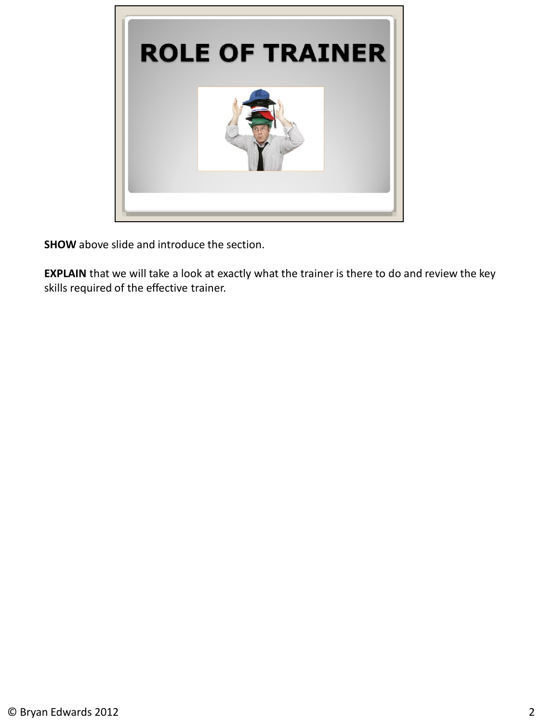

**SHOW** above slide and introduce the section.

**EXPLAIN** that we will take a look at exactly what the trainer is there to do and review the key skills required of the effective trainer.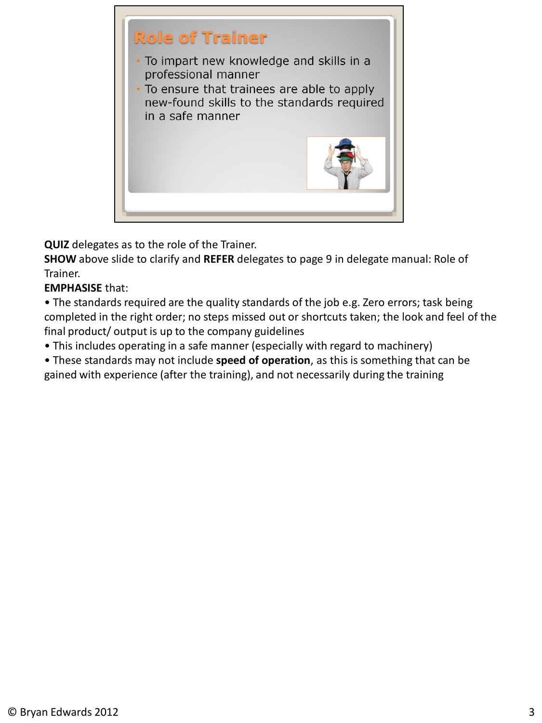

**QUIZ** delegates as to the role of the Trainer.

**SHOW** above slide to clarify and **REFER** delegates to page 9 in delegate manual: Role of Trainer.

## **EMPHASISE** that:

• The standards required are the quality standards of the job e.g. Zero errors; task being completed in the right order; no steps missed out or shortcuts taken; the look and feel of the final product/ output is up to the company guidelines

• This includes operating in a safe manner (especially with regard to machinery)

• These standards may not include **speed of operation**, as this is something that can be gained with experience (after the training), and not necessarily during the training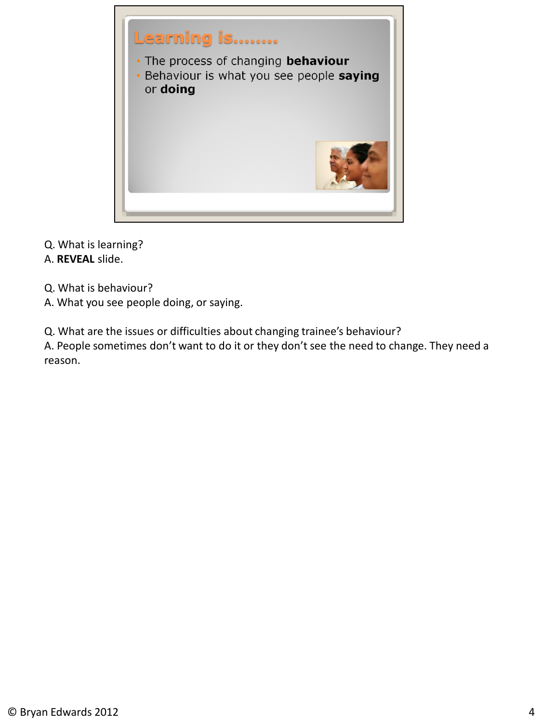

Q. What is learning?

A. **REVEAL** slide.

Q. What is behaviour?

A. What you see people doing, or saying.

Q. What are the issues or difficulties about changing trainee's behaviour?

A. People sometimes don't want to do it or they don't see the need to change. They need a reason.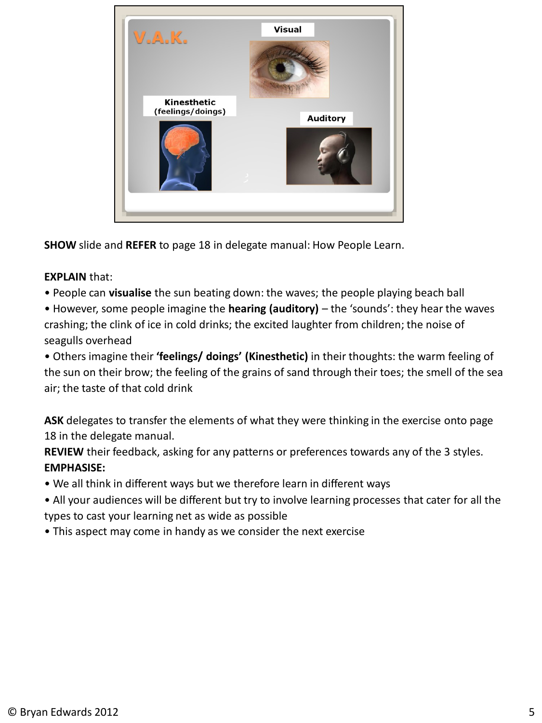

**SHOW** slide and **REFER** to page 18 in delegate manual: How People Learn.

#### **EXPLAIN** that:

• People can **visualise** the sun beating down: the waves; the people playing beach ball

• However, some people imagine the **hearing (auditory)** – the 'sounds': they hear the waves crashing; the clink of ice in cold drinks; the excited laughter from children; the noise of seagulls overhead

• Others imagine their **'feelings/ doings' (Kinesthetic)** in their thoughts: the warm feeling of the sun on their brow; the feeling of the grains of sand through their toes; the smell of the sea air; the taste of that cold drink

**ASK** delegates to transfer the elements of what they were thinking in the exercise onto page 18 in the delegate manual.

**REVIEW** their feedback, asking for any patterns or preferences towards any of the 3 styles. **EMPHASISE:**

- We all think in different ways but we therefore learn in different ways
- All your audiences will be different but try to involve learning processes that cater for all the types to cast your learning net as wide as possible
- This aspect may come in handy as we consider the next exercise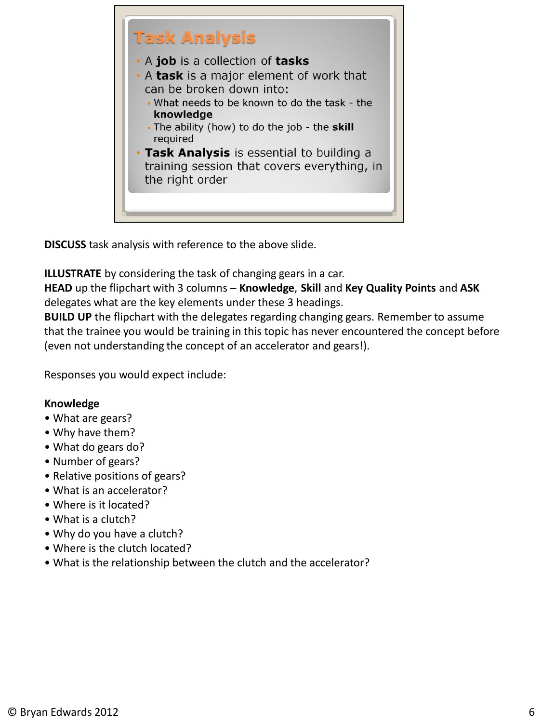

**DISCUSS** task analysis with reference to the above slide.

**ILLUSTRATE** by considering the task of changing gears in a car.

**HEAD** up the flipchart with 3 columns – **Knowledge**, **Skill** and **Key Quality Points** and **ASK** delegates what are the key elements under these 3 headings.

**BUILD UP** the flipchart with the delegates regarding changing gears. Remember to assume that the trainee you would be training in this topic has never encountered the concept before (even not understanding the concept of an accelerator and gears!).

Responses you would expect include:

## **Knowledge**

- What are gears?
- Why have them?
- What do gears do?
- Number of gears?
- Relative positions of gears?
- What is an accelerator?
- Where is it located?
- What is a clutch?
- Why do you have a clutch?
- Where is the clutch located?
- What is the relationship between the clutch and the accelerator?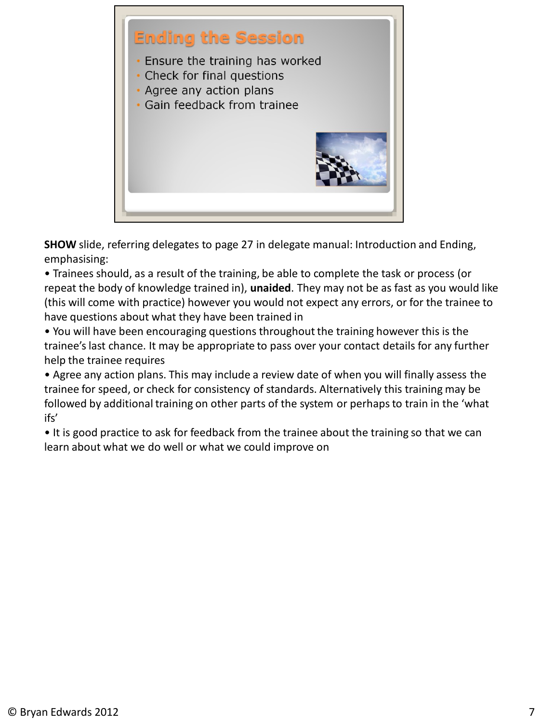

**SHOW** slide, referring delegates to page 27 in delegate manual: Introduction and Ending, emphasising:

• Trainees should, as a result of the training, be able to complete the task or process (or repeat the body of knowledge trained in), **unaided**. They may not be as fast as you would like (this will come with practice) however you would not expect any errors, or for the trainee to have questions about what they have been trained in

• You will have been encouraging questions throughout the training however this is the trainee's last chance. It may be appropriate to pass over your contact details for any further help the trainee requires

• Agree any action plans. This may include a review date of when you will finally assess the trainee for speed, or check for consistency of standards. Alternatively this training may be followed by additional training on other parts of the system or perhaps to train in the 'what ifs'

• It is good practice to ask for feedback from the trainee about the training so that we can learn about what we do well or what we could improve on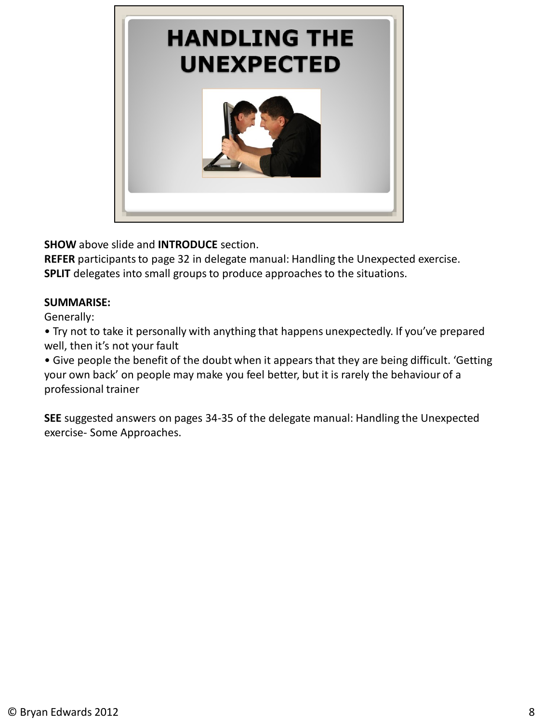

**SHOW** above slide and **INTRODUCE** section.

**REFER** participants to page 32 in delegate manual: Handling the Unexpected exercise. **SPLIT** delegates into small groups to produce approaches to the situations.

## **SUMMARISE:**

Generally:

• Try not to take it personally with anything that happens unexpectedly. If you've prepared well, then it's not your fault

• Give people the benefit of the doubt when it appears that they are being difficult. 'Getting your own back' on people may make you feel better, but it is rarely the behaviour of a professional trainer

**SEE** suggested answers on pages 34-35 of the delegate manual: Handling the Unexpected exercise- Some Approaches.